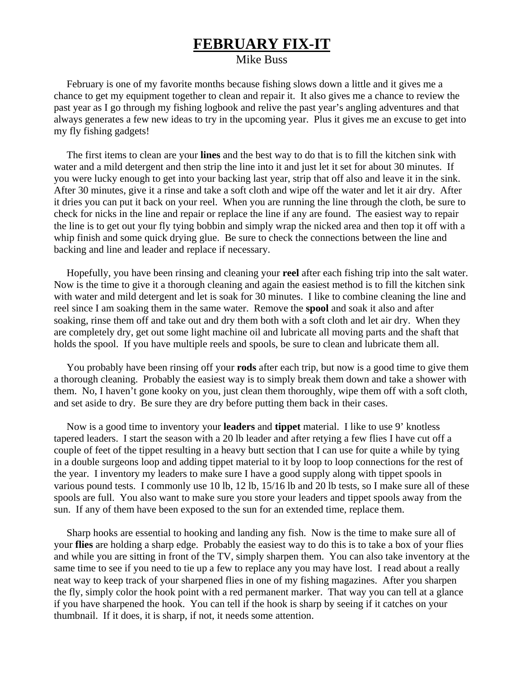## **FEBRUARY FIX-IT**

## Mike Buss

 February is one of my favorite months because fishing slows down a little and it gives me a chance to get my equipment together to clean and repair it. It also gives me a chance to review the past year as I go through my fishing logbook and relive the past year's angling adventures and that always generates a few new ideas to try in the upcoming year. Plus it gives me an excuse to get into my fly fishing gadgets!

 The first items to clean are your **lines** and the best way to do that is to fill the kitchen sink with water and a mild detergent and then strip the line into it and just let it set for about 30 minutes. If you were lucky enough to get into your backing last year, strip that off also and leave it in the sink. After 30 minutes, give it a rinse and take a soft cloth and wipe off the water and let it air dry. After it dries you can put it back on your reel. When you are running the line through the cloth, be sure to check for nicks in the line and repair or replace the line if any are found. The easiest way to repair the line is to get out your fly tying bobbin and simply wrap the nicked area and then top it off with a whip finish and some quick drying glue. Be sure to check the connections between the line and backing and line and leader and replace if necessary.

 Hopefully, you have been rinsing and cleaning your **reel** after each fishing trip into the salt water. Now is the time to give it a thorough cleaning and again the easiest method is to fill the kitchen sink with water and mild detergent and let is soak for 30 minutes. I like to combine cleaning the line and reel since I am soaking them in the same water. Remove the **spool** and soak it also and after soaking, rinse them off and take out and dry them both with a soft cloth and let air dry. When they are completely dry, get out some light machine oil and lubricate all moving parts and the shaft that holds the spool. If you have multiple reels and spools, be sure to clean and lubricate them all.

 You probably have been rinsing off your **rods** after each trip, but now is a good time to give them a thorough cleaning. Probably the easiest way is to simply break them down and take a shower with them. No, I haven't gone kooky on you, just clean them thoroughly, wipe them off with a soft cloth, and set aside to dry. Be sure they are dry before putting them back in their cases.

 Now is a good time to inventory your **leaders** and **tippet** material. I like to use 9' knotless tapered leaders. I start the season with a 20 lb leader and after retying a few flies I have cut off a couple of feet of the tippet resulting in a heavy butt section that I can use for quite a while by tying in a double surgeons loop and adding tippet material to it by loop to loop connections for the rest of the year. I inventory my leaders to make sure I have a good supply along with tippet spools in various pound tests. I commonly use 10 lb, 12 lb, 15/16 lb and 20 lb tests, so I make sure all of these spools are full. You also want to make sure you store your leaders and tippet spools away from the sun. If any of them have been exposed to the sun for an extended time, replace them.

 Sharp hooks are essential to hooking and landing any fish. Now is the time to make sure all of your **flies** are holding a sharp edge. Probably the easiest way to do this is to take a box of your flies and while you are sitting in front of the TV, simply sharpen them. You can also take inventory at the same time to see if you need to tie up a few to replace any you may have lost. I read about a really neat way to keep track of your sharpened flies in one of my fishing magazines. After you sharpen the fly, simply color the hook point with a red permanent marker. That way you can tell at a glance if you have sharpened the hook. You can tell if the hook is sharp by seeing if it catches on your thumbnail. If it does, it is sharp, if not, it needs some attention.